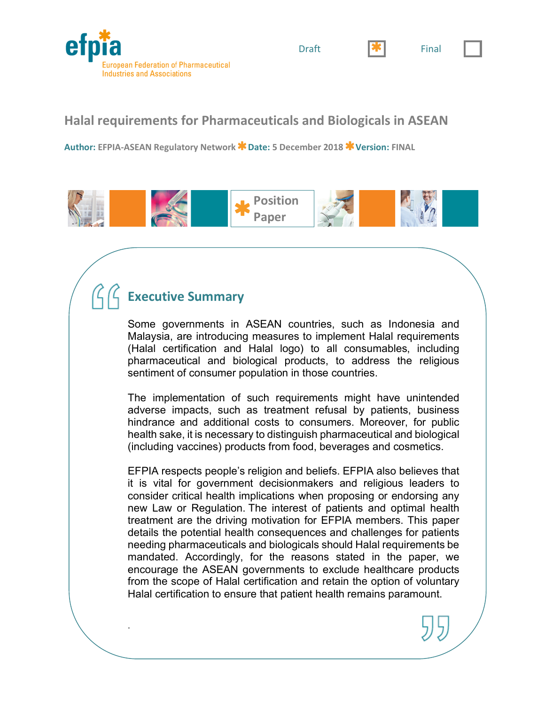



# **Halal requirements for Pharmaceuticals and Biologicals in ASEAN**

**Author: EFPIA-ASEAN Regulatory Network Date: 5 December 2018 Version: FINAL** 



# **Executive Summary**

.

Some governments in ASEAN countries, such as Indonesia and Malaysia, are introducing measures to implement Halal requirements (Halal certification and Halal logo) to all consumables, including pharmaceutical and biological products, to address the religious sentiment of consumer population in those countries.

The implementation of such requirements might have unintended adverse impacts, such as treatment refusal by patients, business hindrance and additional costs to consumers. Moreover, for public health sake, it is necessary to distinguish pharmaceutical and biological (including vaccines) products from food, beverages and cosmetics.

EFPIA respects people's religion and beliefs. EFPIA also believes that it is vital for government decisionmakers and religious leaders to consider critical health implications when proposing or endorsing any new Law or Regulation. The interest of patients and optimal health treatment are the driving motivation for EFPIA members. This paper details the potential health consequences and challenges for patients needing pharmaceuticals and biologicals should Halal requirements be mandated. Accordingly, for the reasons stated in the paper, we encourage the ASEAN governments to exclude healthcare products from the scope of Halal certification and retain the option of voluntary Halal certification to ensure that patient health remains paramount.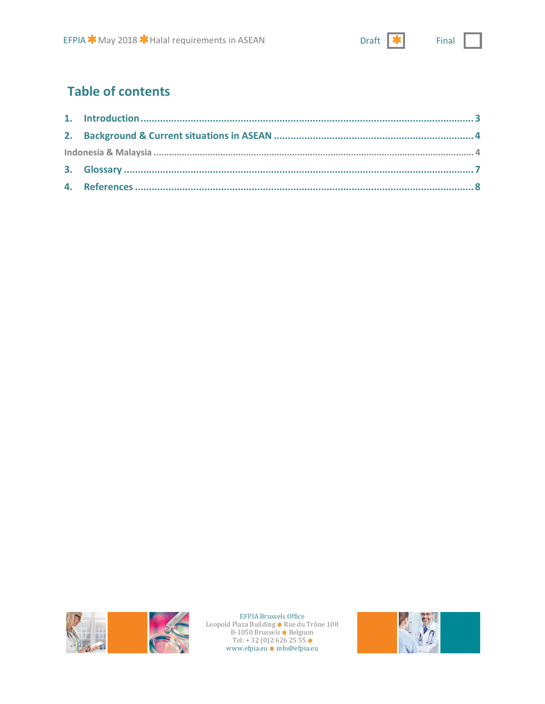# **Table of contents**





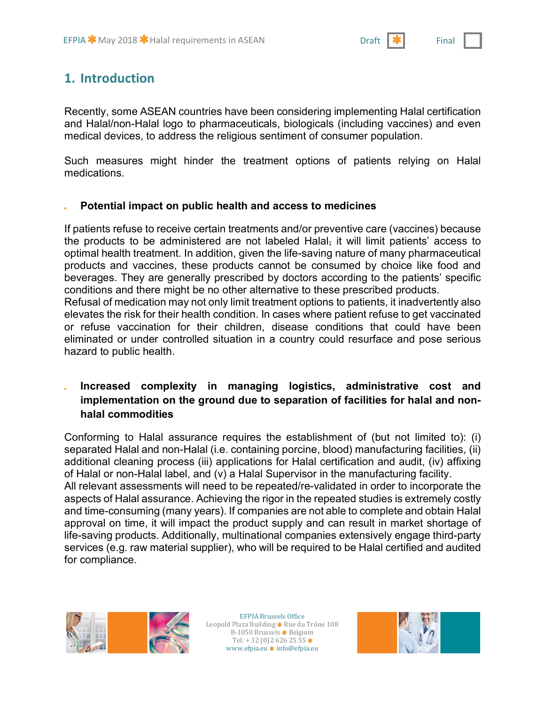# **1. Introduction**

Recently, some ASEAN countries have been considering implementing Halal certification and Halal/non-Halal logo to pharmaceuticals, biologicals (including vaccines) and even medical devices, to address the religious sentiment of consumer population.

Such measures might hinder the treatment options of patients relying on Halal medications.

#### **Potential impact on public health and access to medicines**

If patients refuse to receive certain treatments and/or preventive care (vaccines) because the products to be administered are not labeled Halal, it will limit patients' access to optimal health treatment. In addition, given the life-saving nature of many pharmaceutical products and vaccines, these products cannot be consumed by choice like food and beverages. They are generally prescribed by doctors according to the patients' specific conditions and there might be no other alternative to these prescribed products.

Refusal of medication may not only limit treatment options to patients, it inadvertently also elevates the risk for their health condition. In cases where patient refuse to get vaccinated or refuse vaccination for their children, disease conditions that could have been eliminated or under controlled situation in a country could resurface and pose serious hazard to public health.

### **Increased complexity in managing logistics, administrative cost and implementation on the ground due to separation of facilities for halal and nonhalal commodities**

Conforming to Halal assurance requires the establishment of (but not limited to): (i) separated Halal and non-Halal (i.e. containing porcine, blood) manufacturing facilities, (ii) additional cleaning process (iii) applications for Halal certification and audit, (iv) affixing of Halal or non-Halal label, and (v) a Halal Supervisor in the manufacturing facility. All relevant assessments will need to be repeated/re-validated in order to incorporate the aspects of Halal assurance. Achieving the rigor in the repeated studies is extremely costly and time-consuming (many years). If companies are not able to complete and obtain Halal approval on time, it will impact the product supply and can result in market shortage of life-saving products. Additionally, multinational companies extensively engage third-party services (e.g. raw material supplier), who will be required to be Halal certified and audited for compliance.



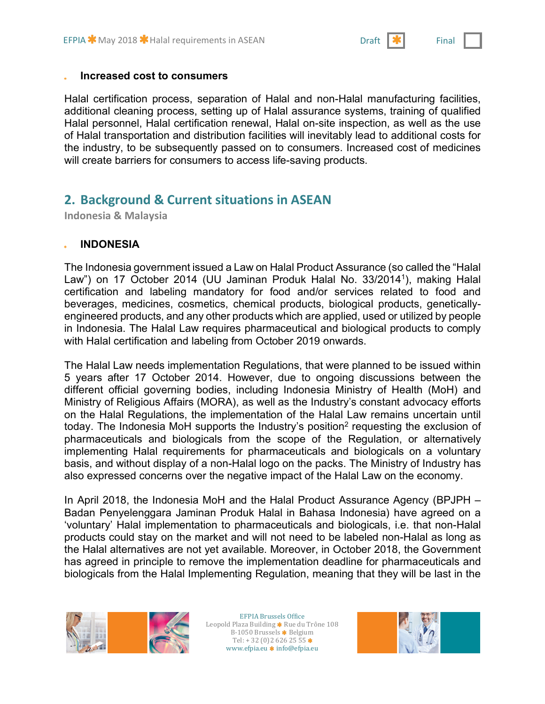#### **Increased cost to consumers**

Halal certification process, separation of Halal and non-Halal manufacturing facilities, additional cleaning process, setting up of Halal assurance systems, training of qualified Halal personnel, Halal certification renewal, Halal on-site inspection, as well as the use of Halal transportation and distribution facilities will inevitably lead to additional costs for the industry, to be subsequently passed on to consumers. Increased cost of medicines will create barriers for consumers to access life-saving products.

## **2. Background & Current situations in ASEAN**

**Indonesia & Malaysia**

#### **INDONESIA**

The Indonesia government issued a Law on Halal Product Assurance (so called the "Halal Law") on 17 October 2014 (UU Jaminan Produk Halal No. 33/20141), making Halal certification and labeling mandatory for food and/or services related to food and beverages, medicines, cosmetics, chemical products, biological products, geneticallyengineered products, and any other products which are applied, used or utilized by people in Indonesia. The Halal Law requires pharmaceutical and biological products to comply with Halal certification and labeling from October 2019 onwards.

The Halal Law needs implementation Regulations, that were planned to be issued within 5 years after 17 October 2014. However, due to ongoing discussions between the different official governing bodies, including Indonesia Ministry of Health (MoH) and Ministry of Religious Affairs (MORA), as well as the Industry's constant advocacy efforts on the Halal Regulations, the implementation of the Halal Law remains uncertain until today. The Indonesia MoH supports the Industry's position<sup>2</sup> requesting the exclusion of pharmaceuticals and biologicals from the scope of the Regulation, or alternatively implementing Halal requirements for pharmaceuticals and biologicals on a voluntary basis, and without display of a non-Halal logo on the packs. The Ministry of Industry has also expressed concerns over the negative impact of the Halal Law on the economy.

In April 2018, the Indonesia MoH and the Halal Product Assurance Agency (BPJPH – Badan Penyelenggara Jaminan Produk Halal in Bahasa Indonesia) have agreed on a 'voluntary' Halal implementation to pharmaceuticals and biologicals, i.e. that non-Halal products could stay on the market and will not need to be labeled non-Halal as long as the Halal alternatives are not yet available. Moreover, in October 2018, the Government has agreed in principle to remove the implementation deadline for pharmaceuticals and biologicals from the Halal Implementing Regulation, meaning that they will be last in the



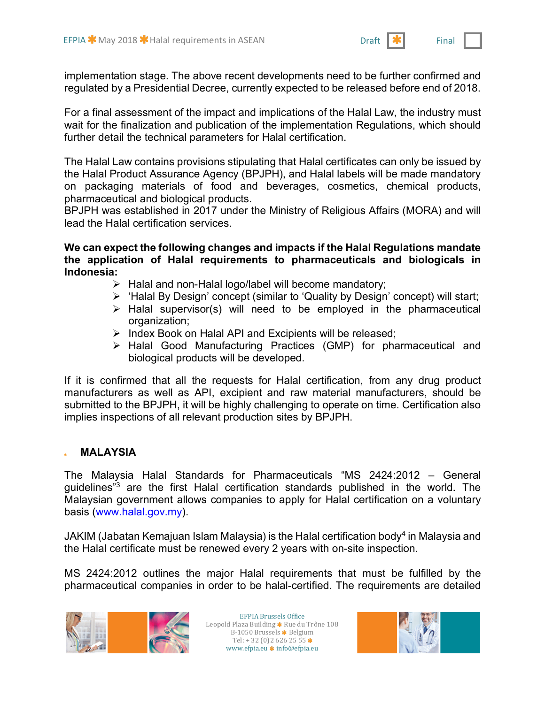implementation stage. The above recent developments need to be further confirmed and regulated by a Presidential Decree, currently expected to be released before end of 2018.

For a final assessment of the impact and implications of the Halal Law, the industry must wait for the finalization and publication of the implementation Regulations, which should further detail the technical parameters for Halal certification.

The Halal Law contains provisions stipulating that Halal certificates can only be issued by the Halal Product Assurance Agency (BPJPH), and Halal labels will be made mandatory on packaging materials of food and beverages, cosmetics, chemical products, pharmaceutical and biological products.

BPJPH was established in 2017 under the Ministry of Religious Affairs (MORA) and will lead the Halal certification services.

**We can expect the following changes and impacts if the Halal Regulations mandate the application of Halal requirements to pharmaceuticals and biologicals in Indonesia:** 

- $\triangleright$  Halal and non-Halal logo/label will become mandatory;
- Ø 'Halal By Design' concept (similar to 'Quality by Design' concept) will start;
- $\triangleright$  Halal supervisor(s) will need to be employed in the pharmaceutical organization;
- $\triangleright$  Index Book on Halal API and Excipients will be released;
- Ø Halal Good Manufacturing Practices (GMP) for pharmaceutical and biological products will be developed.

If it is confirmed that all the requests for Halal certification, from any drug product manufacturers as well as API, excipient and raw material manufacturers, should be submitted to the BPJPH, it will be highly challenging to operate on time. Certification also implies inspections of all relevant production sites by BPJPH.

### **MALAYSIA**

The Malaysia Halal Standards for Pharmaceuticals "MS 2424:2012 – General guidelines<sup>"3</sup> are the first Halal certification standards published in the world. The Malaysian government allows companies to apply for Halal certification on a voluntary basis (www.halal.gov.my).

JAKIM (Jabatan Kemajuan Islam Malaysia) is the Halal certification body<sup>4</sup> in Malaysia and the Halal certificate must be renewed every 2 years with on-site inspection.

MS 2424:2012 outlines the major Halal requirements that must be fulfilled by the pharmaceutical companies in order to be halal-certified. The requirements are detailed



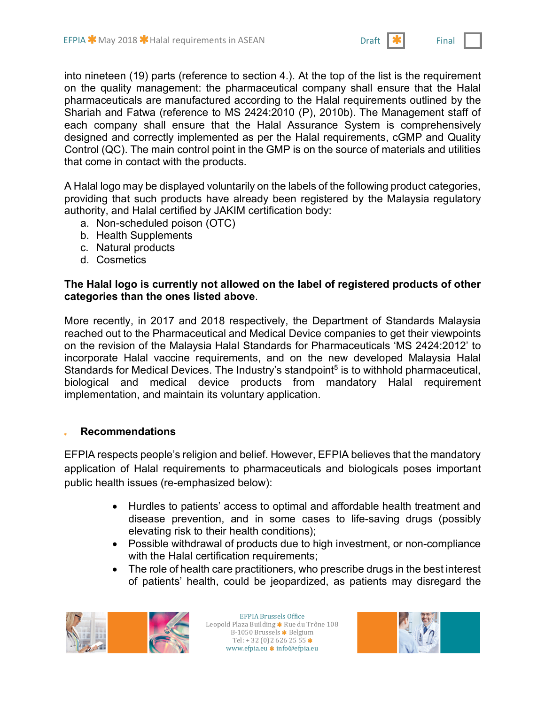into nineteen (19) parts (reference to section 4.). At the top of the list is the requirement on the quality management: the pharmaceutical company shall ensure that the Halal pharmaceuticals are manufactured according to the Halal requirements outlined by the Shariah and Fatwa (reference to MS 2424:2010 (P), 2010b). The Management staff of each company shall ensure that the Halal Assurance System is comprehensively designed and correctly implemented as per the Halal requirements, cGMP and Quality Control (QC). The main control point in the GMP is on the source of materials and utilities that come in contact with the products.

A Halal logo may be displayed voluntarily on the labels of the following product categories, providing that such products have already been registered by the Malaysia regulatory authority, and Halal certified by JAKIM certification body:

- a. Non-scheduled poison (OTC)
- b. Health Supplements
- c. Natural products
- d. Cosmetics

#### **The Halal logo is currently not allowed on the label of registered products of other categories than the ones listed above**.

More recently, in 2017 and 2018 respectively, the Department of Standards Malaysia reached out to the Pharmaceutical and Medical Device companies to get their viewpoints on the revision of the Malaysia Halal Standards for Pharmaceuticals 'MS 2424:2012' to incorporate Halal vaccine requirements, and on the new developed Malaysia Halal Standards for Medical Devices. The Industry's standpoint<sup>5</sup> is to withhold pharmaceutical, biological and medical device products from mandatory Halal requirement implementation, and maintain its voluntary application.

#### **Recommendations**

EFPIA respects people's religion and belief. However, EFPIA believes that the mandatory application of Halal requirements to pharmaceuticals and biologicals poses important public health issues (re-emphasized below):

- Hurdles to patients' access to optimal and affordable health treatment and disease prevention, and in some cases to life-saving drugs (possibly elevating risk to their health conditions);
- Possible withdrawal of products due to high investment, or non-compliance with the Halal certification requirements;
- The role of health care practitioners, who prescribe drugs in the best interest of patients' health, could be jeopardized, as patients may disregard the



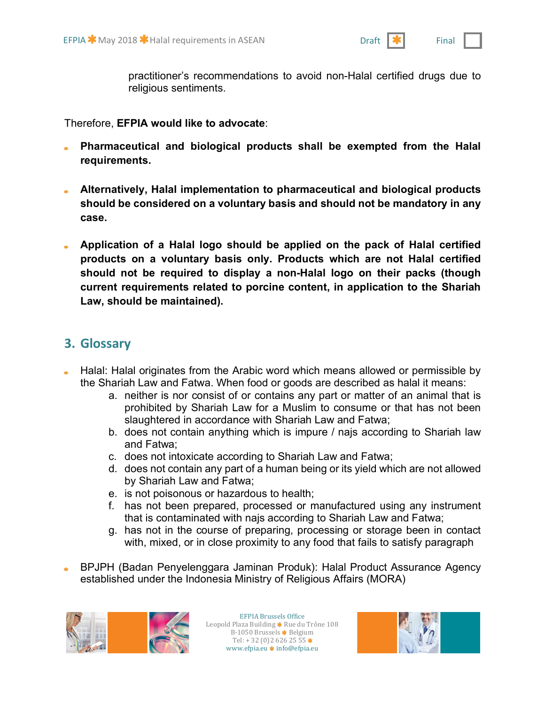practitioner's recommendations to avoid non-Halal certified drugs due to religious sentiments.

Therefore, **EFPIA would like to advocate**:

- **Pharmaceutical and biological products shall be exempted from the Halal requirements.**
- **Alternatively, Halal implementation to pharmaceutical and biological products should be considered on a voluntary basis and should not be mandatory in any case.**
- **Application of a Halal logo should be applied on the pack of Halal certified products on a voluntary basis only. Products which are not Halal certified should not be required to display a non-Halal logo on their packs (though current requirements related to porcine content, in application to the Shariah Law, should be maintained).**

## **3. Glossary**

- **Halal: Halal originates from the Arabic word which means allowed or permissible by** the Shariah Law and Fatwa. When food or goods are described as halal it means:
	- a. neither is nor consist of or contains any part or matter of an animal that is prohibited by Shariah Law for a Muslim to consume or that has not been slaughtered in accordance with Shariah Law and Fatwa;
	- b. does not contain anything which is impure / najs according to Shariah law and Fatwa;
	- c. does not intoxicate according to Shariah Law and Fatwa;
	- d. does not contain any part of a human being or its yield which are not allowed by Shariah Law and Fatwa;
	- e. is not poisonous or hazardous to health;
	- f. has not been prepared, processed or manufactured using any instrument that is contaminated with najs according to Shariah Law and Fatwa;
	- g. has not in the course of preparing, processing or storage been in contact with, mixed, or in close proximity to any food that fails to satisfy paragraph
- BPJPH (Badan Penyelenggara Jaminan Produk): Halal Product Assurance Agency established under the Indonesia Ministry of Religious Affairs (MORA)